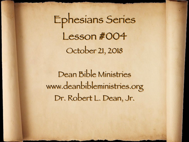Ephesians Series Lesson #004 October 21, 2018

Dean Bible Ministries [www.deanbibleministries.org](http://www.deanbibleministries.org)  [Dr. Robert L. Dean, Jr.](http://www.deanbibleministries.org)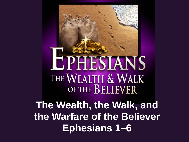## LPHESIANS THE WEALTH & WALK OF THE BELIEVER

**The Wealth, the Walk, and the Warfare of the Believer Ephesians 1–6**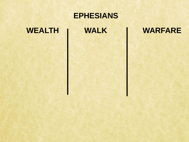# **EPHESIANS** WEALTH **WALK WARFARE**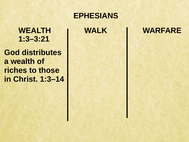**God distributes a wealth of riches to those in Christ. 1:3–14**

#### **EPHESIANS**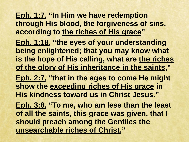**Eph. 1:7, "In Him we have redemption through His blood, the forgiveness of sins, according to the riches of His grace" Eph. 1:18, "the eyes of your understanding being enlightened; that you may know what is the hope of His calling, what are the riches of the glory of His inheritance in the saints," Eph. 2:7, "that in the ages to come He might** 

**show the exceeding riches of His grace in His kindness toward us in Christ Jesus."** 

**Eph. 3:8, "To me, who am less than the least of all the saints, this grace was given, that I should preach among the Gentiles the unsearchable riches of Christ,"**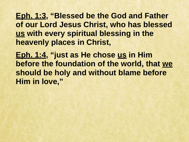**Eph. 1:3, "Blessed be the God and Father of our Lord Jesus Christ, who has blessed us with every spiritual blessing in the heavenly places in Christ,** 

**Eph. 1:4, "just as He chose us in Him before the foundation of the world, that we should be holy and without blame before Him in love,"**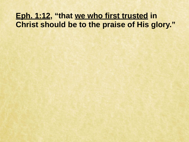#### **Eph. 1:12, "that we who first trusted in Christ should be to the praise of His glory."**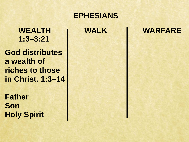**God distributes a wealth of riches to those in Christ. 1:3–14** 

**Father Son Holy Spirit**

#### **EPHESIANS**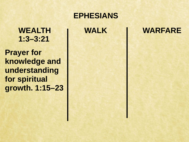**Prayer for knowledge and understanding for spiritual growth. 1:15–23**

#### **EPHESIANS**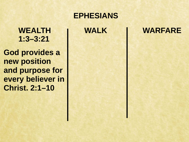**God provides a new position and purpose for every believer in Christ. 2:1–10**

#### **EPHESIANS**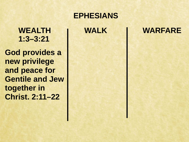**God provides a new privilege and peace for Gentile and Jew together in Christ. 2:11–22**

#### **EPHESIANS**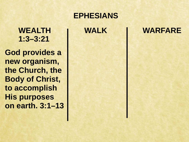**God provides a new organism, the Church, the Body of Christ, to accomplish His purposes on earth. 3:1–13**

#### **EPHESIANS**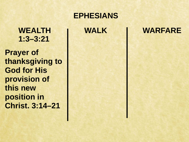**Prayer of thanksgiving to God for His provision of this new position in Christ. 3:14–21**

#### **EPHESIANS**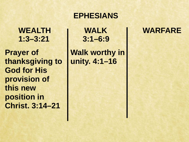**Prayer of thanksgiving to God for His provision of this new position in Christ. 3:14–21**

#### **EPHESIANS**

**3:1–6:9**

**Walk worthy in unity. 4:1–16**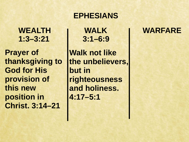**Prayer of thanksgiving to God for His provision of this new position in Christ. 3:14–21**

#### **EPHESIANS**

**3:1–6:9**

**Walk not like the unbelievers, but in righteousness and holiness. 4:17–5:1**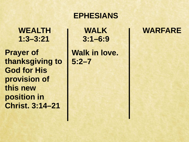**Prayer of thanksgiving to God for His provision of this new position in Christ. 3:14–21**

#### **EPHESIANS**

**3:1–6:9**

**Walk in love. 5:2–7**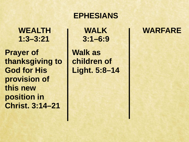**Prayer of thanksgiving to God for His provision of this new position in Christ. 3:14–21**

#### **EPHESIANS**

**3:1–6:9**

**Walk as children of Light. 5:8–14**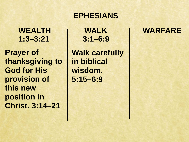**Prayer of thanksgiving to God for His provision of this new position in Christ. 3:14–21**

#### **EPHESIANS**

**3:1–6:9**

**Walk carefully in biblical wisdom. 5:15–6:9**